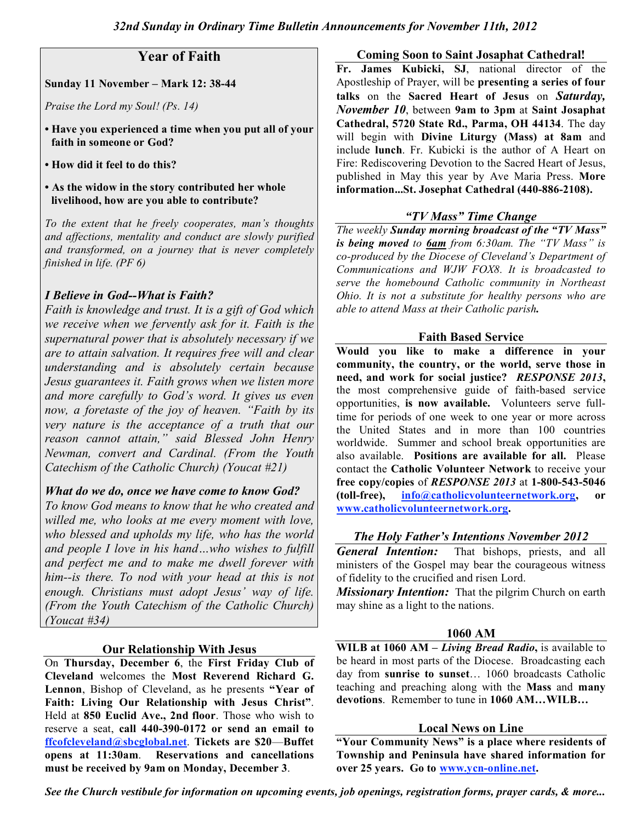# **Year of Faith**

#### **Sunday 11 November – Mark 12: 38-44**

*Praise the Lord my Soul! (Ps. 14)*

- **• Have you experienced a time when you put all of your faith in someone or God?**
- **• How did it feel to do this?**
- **• As the widow in the story contributed her whole livelihood, how are you able to contribute?**

*To the extent that he freely cooperates, man's thoughts and affections, mentality and conduct are slowly purified and transformed, on a journey that is never completely finished in life. (PF 6)*

## *I Believe in God--What is Faith?*

*Faith is knowledge and trust. It is a gift of God which we receive when we fervently ask for it. Faith is the supernatural power that is absolutely necessary if we are to attain salvation. It requires free will and clear understanding and is absolutely certain because Jesus guarantees it. Faith grows when we listen more and more carefully to God's word. It gives us even now, a foretaste of the joy of heaven. "Faith by its very nature is the acceptance of a truth that our reason cannot attain," said Blessed John Henry Newman, convert and Cardinal. (From the Youth Catechism of the Catholic Church) (Youcat #21)*

## *What do we do, once we have come to know God?*

*To know God means to know that he who created and willed me, who looks at me every moment with love, who blessed and upholds my life, who has the world and people I love in his hand…who wishes to fulfill and perfect me and to make me dwell forever with him--is there. To nod with your head at this is not enough. Christians must adopt Jesus' way of life. (From the Youth Catechism of the Catholic Church) (Youcat #34)*

## **Our Relationship With Jesus**

On **Thursday, December 6**, the **First Friday Club of Cleveland** welcomes the **Most Reverend Richard G. Lennon**, Bishop of Cleveland, as he presents **"Year of Faith: Living Our Relationship with Jesus Christ"**. Held at **850 Euclid Ave., 2nd floor**. Those who wish to reserve a seat, **call 440-390-0172 or send an email to ffcofcleveland@sbcglobal.net**. **Tickets are \$20**—**Buffet opens at 11:30am**. **Reservations and cancellations must be received by 9am on Monday, December 3**.

**Coming Soon to Saint Josaphat Cathedral!**

**Fr. James Kubicki, SJ**, national director of the Apostleship of Prayer, will be **presenting a series of four talks** on the **Sacred Heart of Jesus** on *Saturday, November 10*, between **9am to 3pm** at **Saint Josaphat Cathedral, 5720 State Rd., Parma, OH 44134**. The day will begin with **Divine Liturgy (Mass) at 8am** and include **lunch**. Fr. Kubicki is the author of A Heart on Fire: Rediscovering Devotion to the Sacred Heart of Jesus, published in May this year by Ave Maria Press. **More information...St. Josephat Cathedral (440-886-2108).**

## *"TV Mass" Time Change*

*The weekly Sunday morning broadcast of the "TV Mass" is being moved to 6am from 6:30am. The "TV Mass" is co-produced by the Diocese of Cleveland's Department of Communications and WJW FOX8. It is broadcasted to serve the homebound Catholic community in Northeast Ohio. It is not a substitute for healthy persons who are able to attend Mass at their Catholic parish.*

### **Faith Based Service**

**Would you like to make a difference in your community, the country, or the world, serve those in need, and work for social justice?** *RESPONSE 2013***,** the most comprehensive guide of faith-based service opportunities, **is now available.** Volunteers serve fulltime for periods of one week to one year or more across the United States and in more than 100 countries worldwide. Summer and school break opportunities are also available. **Positions are available for all.** Please contact the **Catholic Volunteer Network** to receive your **free copy/copies** of *RESPONSE 2013* at **1-800-543-5046 (toll-free), info@catholicvolunteernetwork.org, or www.catholicvolunteernetwork.org.**

### *The Holy Father's Intentions November 2012*

*General Intention:* That bishops, priests, and all ministers of the Gospel may bear the courageous witness of fidelity to the crucified and risen Lord.

*Missionary Intention:* That the pilgrim Church on earth may shine as a light to the nations.

### **1060 AM**

**WILB at 1060 AM –** *Living Bread Radio***,** is available to be heard in most parts of the Diocese. Broadcasting each day from **sunrise to sunset**… 1060 broadcasts Catholic teaching and preaching along with the **Mass** and **many devotions**. Remember to tune in **1060 AM…WILB…**

### **Local News on Line**

**"Your Community News" is a place where residents of Township and Peninsula have shared information for over 25 years. Go to www.ycn-online.net.**

*See the Church vestibule for information on upcoming events, job openings, registration forms, prayer cards, & more...*